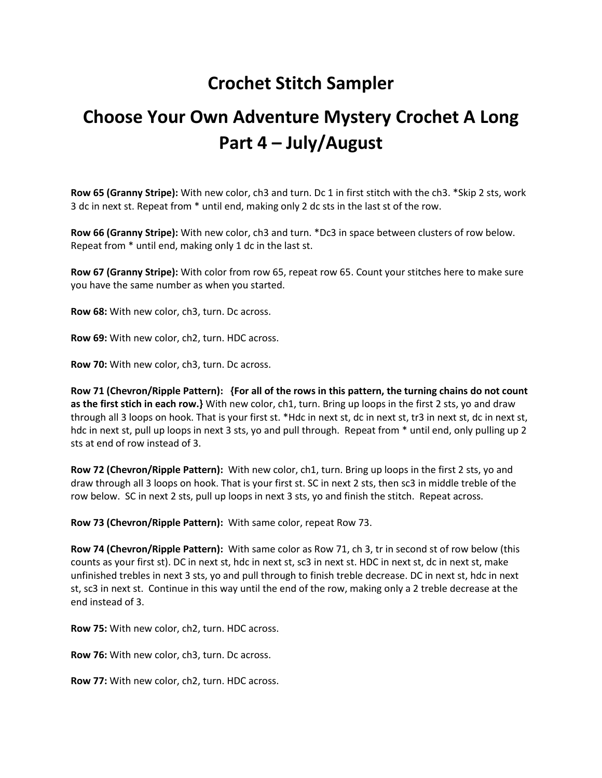## **Crochet Stitch Sampler**

## **Choose Your Own Adventure Mystery Crochet A Long Part 4 – July/August**

**Row 65 (Granny Stripe):** With new color, ch3 and turn. Dc 1 in first stitch with the ch3. \*Skip 2 sts, work 3 dc in next st. Repeat from \* until end, making only 2 dc sts in the last st of the row.

**Row 66 (Granny Stripe):** With new color, ch3 and turn. \*Dc3 in space between clusters of row below. Repeat from \* until end, making only 1 dc in the last st.

**Row 67 (Granny Stripe):** With color from row 65, repeat row 65. Count your stitches here to make sure you have the same number as when you started.

**Row 68:** With new color, ch3, turn. Dc across.

**Row 69:** With new color, ch2, turn. HDC across.

**Row 70:** With new color, ch3, turn. Dc across.

**Row 71 (Chevron/Ripple Pattern): {For all of the rows in this pattern, the turning chains do not count as the first stich in each row.}** With new color, ch1, turn. Bring up loops in the first 2 sts, yo and draw through all 3 loops on hook. That is your first st. \*Hdc in next st, dc in next st, tr3 in next st, dc in next st, hdc in next st, pull up loops in next 3 sts, yo and pull through. Repeat from \* until end, only pulling up 2 sts at end of row instead of 3.

**Row 72 (Chevron/Ripple Pattern):** With new color, ch1, turn. Bring up loops in the first 2 sts, yo and draw through all 3 loops on hook. That is your first st. SC in next 2 sts, then sc3 in middle treble of the row below. SC in next 2 sts, pull up loops in next 3 sts, yo and finish the stitch. Repeat across.

**Row 73 (Chevron/Ripple Pattern):** With same color, repeat Row 73.

**Row 74 (Chevron/Ripple Pattern):** With same color as Row 71, ch 3, tr in second st of row below (this counts as your first st). DC in next st, hdc in next st, sc3 in next st. HDC in next st, dc in next st, make unfinished trebles in next 3 sts, yo and pull through to finish treble decrease. DC in next st, hdc in next st, sc3 in next st. Continue in this way until the end of the row, making only a 2 treble decrease at the end instead of 3.

**Row 75:** With new color, ch2, turn. HDC across.

**Row 76:** With new color, ch3, turn. Dc across.

**Row 77:** With new color, ch2, turn. HDC across.